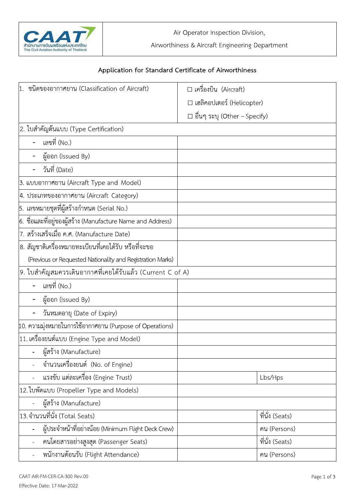

| The Civil Aviation Authority of Thailand                             | Air Operator Inspection Division,<br>Airworthiness & Aircraft Engineering Department |                                                                                                          |                 |
|----------------------------------------------------------------------|--------------------------------------------------------------------------------------|----------------------------------------------------------------------------------------------------------|-----------------|
|                                                                      |                                                                                      | Application for Standard Certificate of Airworthiness                                                    |                 |
| ชนิดของอากาศยาน (Classification of Aircraft)                         |                                                                                      | $\square$ เครื่องบิน (Aircraft)<br>□ เฮลิคอปเตอร์ (Helicopter)<br>$\square$ อื่นๆ ระบุ (Other - Specify) |                 |
| 2. ใบสำคัญต้นแบบ (Type Certification)                                |                                                                                      |                                                                                                          |                 |
| เลขที่ (No.)                                                         |                                                                                      |                                                                                                          |                 |
| ผู้ออก (Issued By)                                                   |                                                                                      |                                                                                                          |                 |
| วันที่ (Date)                                                        |                                                                                      |                                                                                                          |                 |
| 3. แบบอากาศยาน (Aircraft Type and Model)                             |                                                                                      |                                                                                                          |                 |
| 4. ประเภทของอากาศยาน (Aircraft Category)                             |                                                                                      |                                                                                                          |                 |
| 5. เลขหมายชุดที่ผู้สร้างกำหนด (Serial No.)                           |                                                                                      |                                                                                                          |                 |
| $\vert$ 6.  ชื่อและที่อยู่ของผู้สร้าง (Manufacture Name and Address) |                                                                                      |                                                                                                          |                 |
| 7. สร้างเสร็จเมื่อ ค.ศ. (Manufacture Date)                           |                                                                                      |                                                                                                          |                 |
| 8. สัญชาติเครื่องหมายทะเบียนที่เคยได้รับ หรือที่จะขอ                 |                                                                                      |                                                                                                          |                 |
| (Previous or Requested Nationality and Registration Marks)           |                                                                                      |                                                                                                          |                 |
| 9. ใบสำคัญสมควรเดินอากาศที่เคยได้รับแล้ว (Current C of A)            |                                                                                      |                                                                                                          |                 |
| เลขที่ (No.)                                                         |                                                                                      |                                                                                                          |                 |
| ผู้ออก (Issued By)                                                   |                                                                                      |                                                                                                          |                 |
| วันหมดอายุ (Date of Expiry)                                          |                                                                                      |                                                                                                          |                 |
| 10. ความมุ่งหมายในการใช้อากาศยาน (Purpose of Operations)             |                                                                                      |                                                                                                          |                 |
| 11. เครื่องยนต์แบบ (Engine Type and Model)                           |                                                                                      |                                                                                                          |                 |
| ผู้สร้าง (Manufacture)                                               |                                                                                      |                                                                                                          |                 |
| ์จำนวนเครื่องยนต์ (No. of Engine)                                    |                                                                                      |                                                                                                          |                 |
| แรงขับ แต่ละเครื่อง (Engine Trust)                                   |                                                                                      |                                                                                                          | Lbs/Hps         |
| 12. ใบพัดแบบ (Propeller Type and Models)                             |                                                                                      |                                                                                                          |                 |
| ผู้สร้าง (Manufacture)                                               |                                                                                      |                                                                                                          |                 |
| 13. จำนวนที่นั่ง (Total Seats)                                       |                                                                                      |                                                                                                          | ที่นั่ง (Seats) |
| ผู้ประจำหน้าที่อย่างน้อย (Minimum Flight Deck Crew)                  |                                                                                      |                                                                                                          | คน (Persons)    |
| คนโดยสารอย่างสูงสุด (Passenger Seats)                                |                                                                                      |                                                                                                          | ที่นั่ง (Seats) |
| พนักงานต้อนรับ (Flight Attendance)                                   |                                                                                      |                                                                                                          | คน (Persons)    |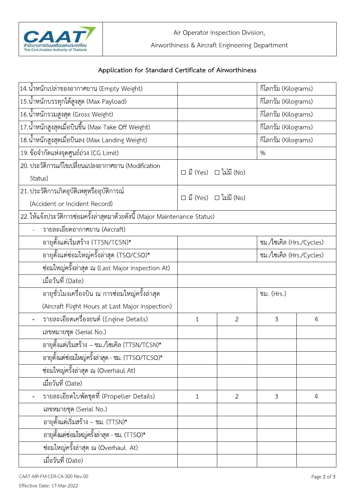

## Application for Standard Certificate of Airworthiness

| 14.น้ำหนักเปล่าของอากาศยาน (Empty Weight)                                   |                                   |                                   | กิโลกรัม (Kilograms)     |   |
|-----------------------------------------------------------------------------|-----------------------------------|-----------------------------------|--------------------------|---|
| 15.น้ำหนักบรรทุกได้สูงสุด (Max Payload)                                     |                                   |                                   | กิโลกรัม (Kilograms)     |   |
| 16.น้ำหนักรวมสูงสุด (Gross Weight)                                          |                                   |                                   | กิโลกรัม (Kilograms)     |   |
| 17.น้ำหนักสูงสุดเมื่อบินขึ้น (Max Take Off Weight)                          |                                   |                                   | กิโลกรัม (Kilograms)     |   |
| 18.น้ำหนักสูงสุดเมื่อบินลง (Max Landing Weight)                             |                                   |                                   | กิโลกรัม (Kilograms)     |   |
| 19. ข้อจำกัดแห่งจุดศูนย์ถ่วง (CG Limit)                                     |                                   |                                   | %                        |   |
| 20. ประวัติการแก้ไขเปลี่ยนแปลงอากาศยาน (Modification                        |                                   |                                   |                          |   |
| Status)                                                                     |                                   | $\Box$ มี (Yes) $\Box$ ไม่มี (No) |                          |   |
| 21. ประวัติการเกิดอุบัติเหตุหรืออุบัติการณ์                                 | $\Box$ มี (Yes) $\Box$ ไม่มี (No) |                                   |                          |   |
| (Accident or Incident Record)                                               |                                   |                                   |                          |   |
| 22. ให้แจ้งประวัติการซ่อมครั้งล่าสุดมาด้วยดังนี้ (Major Maintenance Status) |                                   |                                   |                          |   |
| รายละเอียดอากาศยาน (Aircraft)                                               |                                   |                                   |                          |   |
| อายุตั้งแต่เริ่มสร้าง (TTSN/TCSN)*                                          |                                   |                                   | ชม./ไซเคิล (Hrs./Cycles) |   |
| ้อายุตั้งแต่ซ่อมใหญ่ครั้งล่าสุด (TSO/CSO)*                                  | ชม./ไซเคิล (Hrs./Cycles)          |                                   |                          |   |
| ซ่อมใหญ่ครั้งล่าสุด ณ (Last Major Inspection At)                            |                                   |                                   |                          |   |
| เมื่อวันที่ (Date)                                                          |                                   |                                   |                          |   |
| ้อายุชั่วโมงเครื่องบิน ณ การซ่อมใหญ่ครั้งล่าสุด                             |                                   |                                   | ชม. (Hrs.)               |   |
| (Aircraft Flight Hours at Last Major Inspection)                            |                                   |                                   |                          |   |
| รายละเอียดเครื่องยนต์ (Engine Details)                                      | $\mathbf{1}$                      | $\overline{2}$                    | 3                        | 4 |
| เลขหมายชุด (Serial No.)                                                     |                                   |                                   |                          |   |
| อายุตั้งแต่เริ่มสร้าง – ชม./ไซเคิล (TTSN/TCSN)*                             |                                   |                                   |                          |   |
| อายุตั้งแต่ซ่อมใหญ่ครั้งล่าสุด - ชม. (TTSO/TCSO)*                           |                                   |                                   |                          |   |
| ซ่อมใหญ่ครั้งล่าสุด ณ (Overhaul At)                                         |                                   |                                   |                          |   |
| เมื่อวันที่ (Date)                                                          |                                   |                                   |                          |   |
| รายละเอียดใบพัดชุดที่ (Propeller Details)                                   | $\mathbf{1}$                      | $\mathbf{2}$                      | 3                        | 4 |
| เลขหมายชุด (Serial No.)                                                     |                                   |                                   |                          |   |
| อายุตั้งแต่เริ่มสร้าง – ชม. (TTSN)*                                         |                                   |                                   |                          |   |
| ้อายุตั้งแต่ซ่อมใหญ่ครั้งล่าสุด - ชม. (TTSO)*                               |                                   |                                   |                          |   |
| ซ่อมใหญ่ครั้งล่าสุด ณ (Overhaul At)                                         |                                   |                                   |                          |   |
| เมื่อวันที่ (Date)                                                          |                                   |                                   |                          |   |